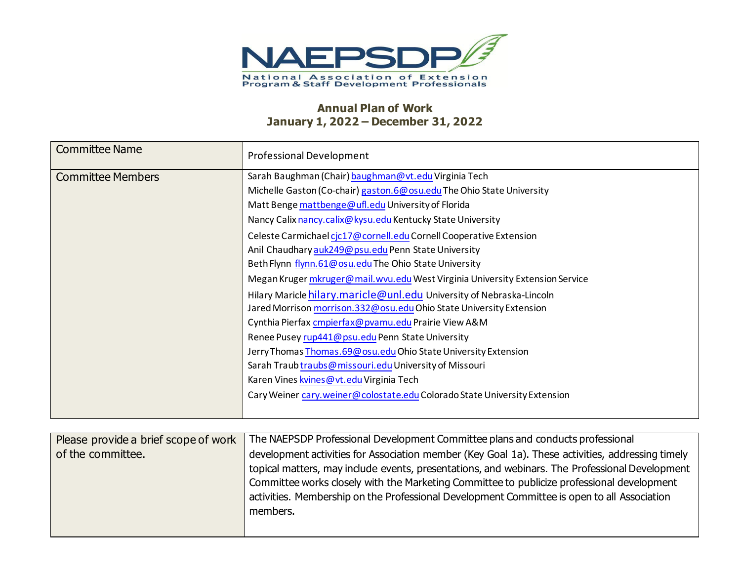

## **Annual Plan of Work January 1, 2022 – December 31, 2022**

| <b>Committee Name</b>    | <b>Professional Development</b>                                              |
|--------------------------|------------------------------------------------------------------------------|
| <b>Committee Members</b> | Sarah Baughman (Chair) baughman@vt.edu Virginia Tech                         |
|                          | Michelle Gaston (Co-chair) gaston.6@ osu.edu The Ohio State University       |
|                          | Matt Benge mattbenge@ufl.edu University of Florida                           |
|                          | Nancy Calix nancy.calix@kysu.edu Kentucky State University                   |
|                          | Celeste Carmichael cic17@cornell.edu Cornell Cooperative Extension           |
|                          | Anil Chaudhary auk249@psu.edu Penn State University                          |
|                          | Beth Flynn flynn.61@osu.edu The Ohio State University                        |
|                          | Megan Kruger mkruger@mail.wvu.edu West Virginia University Extension Service |
|                          | Hilary Maricle hilary.maricle@unl.edu University of Nebraska-Lincoln         |
|                          | Jared Morrison morrison.332@osu.edu Ohio State University Extension          |
|                          | Cynthia Pierfax cmpierfax@pvamu.edu Prairie View A&M                         |
|                          | Renee Pusey rup441@ psu.edu Penn State University                            |
|                          | Jerry Thomas Thomas.69@osu.edu Ohio State University Extension               |
|                          | Sarah Traub traubs@missouri.edu University of Missouri                       |
|                          | Karen Vines kvines @ vt. edu Virginia Tech                                   |
|                          | Cary Weiner cary.weiner@colostate.edu Colorado State University Extension    |
|                          |                                                                              |

| Please provide a brief scope of work | The NAEPSDP Professional Development Committee plans and conducts professional                                                                                                                                                                                                                                                                                                                              |  |  |
|--------------------------------------|-------------------------------------------------------------------------------------------------------------------------------------------------------------------------------------------------------------------------------------------------------------------------------------------------------------------------------------------------------------------------------------------------------------|--|--|
| of the committee.                    | development activities for Association member (Key Goal 1a). These activities, addressing timely<br>topical matters, may include events, presentations, and webinars. The Professional Development<br>Committee works closely with the Marketing Committee to publicize professional development<br>activities. Membership on the Professional Development Committee is open to all Association<br>members. |  |  |